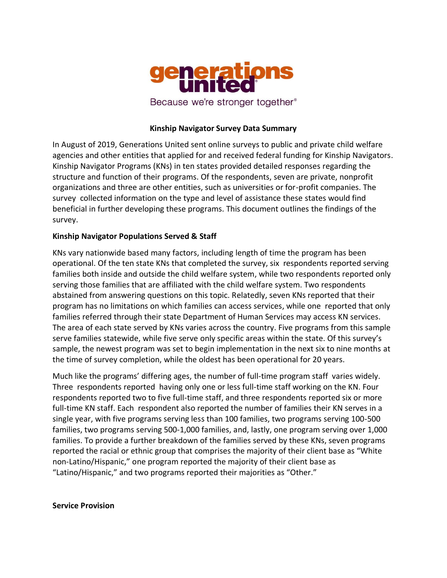

### **Kinship Navigator Survey Data Summary**

In August of 2019, Generations United sent online surveys to public and private child welfare agencies and other entities that applied for and received federal funding for Kinship Navigators. Kinship Navigator Programs (KNs) in ten states provided detailed responses regarding the structure and function of their programs. Of the respondents, seven are private, nonprofit organizations and three are other entities, such as universities or for-profit companies. The survey collected information on the type and level of assistance these states would find beneficial in further developing these programs. This document outlines the findings of the survey.

### **Kinship Navigator Populations Served & Staff**

KNs vary nationwide based many factors, including length of time the program has been operational. Of the ten state KNs that completed the survey, six respondents reported serving families both inside and outside the child welfare system, while two respondents reported only serving those families that are affiliated with the child welfare system. Two respondents abstained from answering questions on this topic. Relatedly, seven KNs reported that their program has no limitations on which families can access services, while one reported that only families referred through their state Department of Human Services may access KN services. The area of each state served by KNs varies across the country. Five programs from this sample serve families statewide, while five serve only specific areas within the state. Of this survey's sample, the newest program was set to begin implementation in the next six to nine months at the time of survey completion, while the oldest has been operational for 20 years.

Much like the programs' differing ages, the number of full-time program staff varies widely. Three respondents reported having only one or less full-time staff working on the KN. Four respondents reported two to five full-time staff, and three respondents reported six or more full-time KN staff. Each respondent also reported the number of families their KN serves in a single year, with five programs serving less than 100 families, two programs serving 100-500 families, two programs serving 500-1,000 families, and, lastly, one program serving over 1,000 families. To provide a further breakdown of the families served by these KNs, seven programs reported the racial or ethnic group that comprises the majority of their client base as "White non-Latino/Hispanic," one program reported the majority of their client base as "Latino/Hispanic," and two programs reported their majorities as "Other."

#### **Service Provision**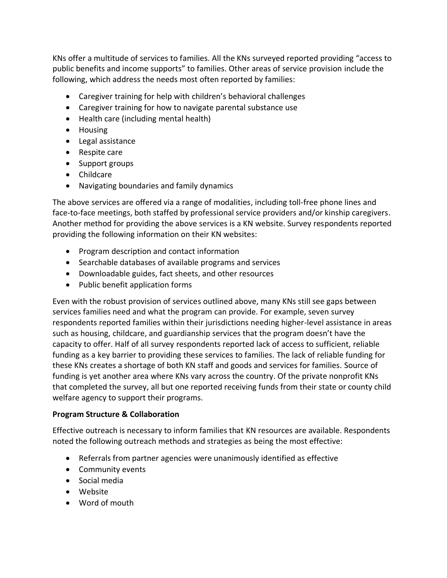KNs offer a multitude of services to families. All the KNs surveyed reported providing "access to public benefits and income supports" to families. Other areas of service provision include the following, which address the needs most often reported by families:

- Caregiver training for help with children's behavioral challenges
- Caregiver training for how to navigate parental substance use
- Health care (including mental health)
- Housing
- Legal assistance
- Respite care
- Support groups
- Childcare
- Navigating boundaries and family dynamics

The above services are offered via a range of modalities, including toll-free phone lines and face-to-face meetings, both staffed by professional service providers and/or kinship caregivers. Another method for providing the above services is a KN website. Survey respondents reported providing the following information on their KN websites:

- Program description and contact information
- Searchable databases of available programs and services
- Downloadable guides, fact sheets, and other resources
- Public benefit application forms

Even with the robust provision of services outlined above, many KNs still see gaps between services families need and what the program can provide. For example, seven survey respondents reported families within their jurisdictions needing higher-level assistance in areas such as housing, childcare, and guardianship services that the program doesn't have the capacity to offer. Half of all survey respondents reported lack of access to sufficient, reliable funding as a key barrier to providing these services to families. The lack of reliable funding for these KNs creates a shortage of both KN staff and goods and services for families. Source of funding is yet another area where KNs vary across the country. Of the private nonprofit KNs that completed the survey, all but one reported receiving funds from their state or county child welfare agency to support their programs.

# **Program Structure & Collaboration**

Effective outreach is necessary to inform families that KN resources are available. Respondents noted the following outreach methods and strategies as being the most effective:

- Referrals from partner agencies were unanimously identified as effective
- Community events
- Social media
- Website
- Word of mouth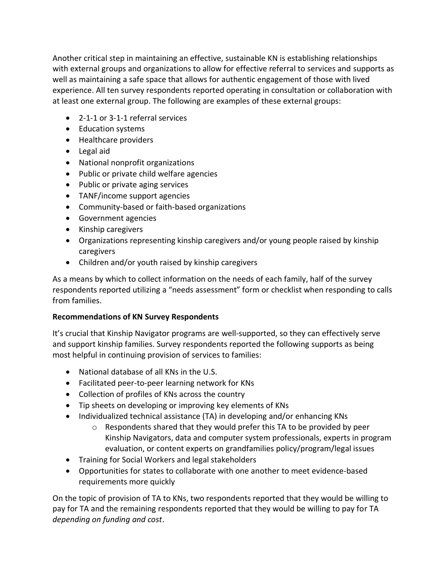Another critical step in maintaining an effective, sustainable KN is establishing relationships with external groups and organizations to allow for effective referral to services and supports as well as maintaining a safe space that allows for authentic engagement of those with lived experience. All ten survey respondents reported operating in consultation or collaboration with at least one external group. The following are examples of these external groups:

- 2-1-1 or 3-1-1 referral services
- Education systems
- Healthcare providers
- Legal aid
- National nonprofit organizations
- Public or private child welfare agencies
- Public or private aging services
- TANF/income support agencies
- Community-based or faith-based organizations
- Government agencies
- Kinship caregivers
- Organizations representing kinship caregivers and/or young people raised by kinship caregivers
- Children and/or youth raised by kinship caregivers

As a means by which to collect information on the needs of each family, half of the survey respondents reported utilizing a "needs assessment" form or checklist when responding to calls from families.

# **Recommendations of KN Survey Respondents**

It's crucial that Kinship Navigator programs are well-supported, so they can effectively serve and support kinship families. Survey respondents reported the following supports as being most helpful in continuing provision of services to families:

- National database of all KNs in the U.S.
- Facilitated peer-to-peer learning network for KNs
- Collection of profiles of KNs across the country
- Tip sheets on developing or improving key elements of KNs
- Individualized technical assistance (TA) in developing and/or enhancing KNs
	- $\circ$  Respondents shared that they would prefer this TA to be provided by peer Kinship Navigators, data and computer system professionals, experts in program evaluation, or content experts on grandfamilies policy/program/legal issues
- Training for Social Workers and legal stakeholders
- Opportunities for states to collaborate with one another to meet evidence-based requirements more quickly

On the topic of provision of TA to KNs, two respondents reported that they would be willing to pay for TA and the remaining respondents reported that they would be willing to pay for TA *depending on funding and cost*.